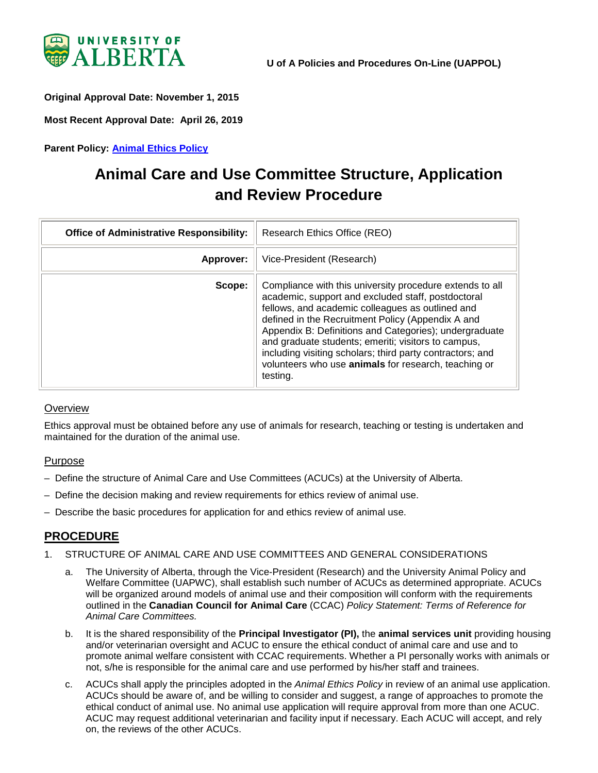

<span id="page-0-0"></span>**Original Approval Date: November 1, 2015**

**Most Recent Approval Date: April 26, 2019**

**Parent Policy: [Animal Ethics Policy](https://policiesonline.ualberta.ca/PoliciesProcedures/Policies/Animal-Ethics-Policy.pdf)**

# **Animal Care and Use Committee Structure, Application and Review Procedure**

| <b>Office of Administrative Responsibility:</b> | Research Ethics Office (REO)                                                                                                                                                                                                                                                                                                                                                                                                                                              |
|-------------------------------------------------|---------------------------------------------------------------------------------------------------------------------------------------------------------------------------------------------------------------------------------------------------------------------------------------------------------------------------------------------------------------------------------------------------------------------------------------------------------------------------|
| Approver:                                       | Vice-President (Research)                                                                                                                                                                                                                                                                                                                                                                                                                                                 |
| Scope:                                          | Compliance with this university procedure extends to all<br>academic, support and excluded staff, postdoctoral<br>fellows, and academic colleagues as outlined and<br>defined in the Recruitment Policy (Appendix A and<br>Appendix B: Definitions and Categories); undergraduate<br>and graduate students; emeriti; visitors to campus,<br>including visiting scholars; third party contractors; and<br>volunteers who use animals for research, teaching or<br>testing. |

#### **Overview**

Ethics approval must be obtained before any use of animals for research, teaching or testing is undertaken and maintained for the duration of the animal use.

#### Purpose

- Define the structure of Animal Care and Use Committees (ACUCs) at the University of Alberta.
- Define the decision making and review requirements for ethics review of animal use.
- Describe the basic procedures for application for and ethics review of animal use.

## **PROCEDURE**

- 1. STRUCTURE OF ANIMAL CARE AND USE COMMITTEES AND GENERAL CONSIDERATIONS
	- a. The University of Alberta, through the Vice-President (Research) and the University Animal Policy and Welfare Committee (UAPWC), shall establish such number of ACUCs as determined appropriate. ACUCs will be organized around models of animal use and their composition will conform with the requirements outlined in the **Canadian Council for Animal Care** (CCAC) *Policy Statement: Terms of Reference for Animal Care Committees.*
	- b. It is the shared responsibility of the **Principal Investigator (PI),** the **animal services unit** providing housing and/or veterinarian oversight and ACUC to ensure the ethical conduct of animal care and use and to promote animal welfare consistent with CCAC requirements. Whether a PI personally works with animals or not, s/he is responsible for the animal care and use performed by his/her staff and trainees.
	- c. ACUCs shall apply the principles adopted in the *Animal Ethics Policy* in review of an animal use application. ACUCs should be aware of, and be willing to consider and suggest, a range of approaches to promote the ethical conduct of animal use. No animal use application will require approval from more than one ACUC. ACUC may request additional veterinarian and facility input if necessary. Each ACUC will accept, and rely on, the reviews of the other ACUCs.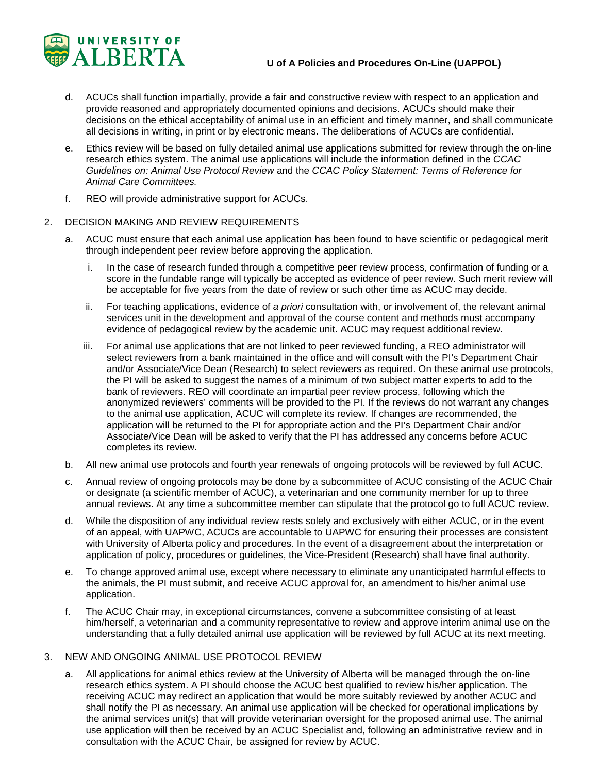

- d. ACUCs shall function impartially, provide a fair and constructive review with respect to an application and provide reasoned and appropriately documented opinions and decisions. ACUCs should make their decisions on the ethical acceptability of animal use in an efficient and timely manner, and shall communicate all decisions in writing, in print or by electronic means. The deliberations of ACUCs are confidential.
- e. Ethics review will be based on fully detailed animal use applications submitted for review through the on-line research ethics system. The animal use applications will include the information defined in the *CCAC Guidelines on: Animal Use Protocol Review* and the *CCAC Policy Statement: Terms of Reference for Animal Care Committees.*
- f. REO will provide administrative support for ACUCs.

#### 2. DECISION MAKING AND REVIEW REQUIREMENTS

- a. ACUC must ensure that each animal use application has been found to have scientific or pedagogical merit through independent peer review before approving the application.
	- i. In the case of research funded through a competitive peer review process, confirmation of funding or a score in the fundable range will typically be accepted as evidence of peer review. Such merit review will be acceptable for five years from the date of review or such other time as ACUC may decide.
	- ii. For teaching applications, evidence of *a priori* consultation with, or involvement of, the relevant animal services unit in the development and approval of the course content and methods must accompany evidence of pedagogical review by the academic unit. ACUC may request additional review.
	- iii. For animal use applications that are not linked to peer reviewed funding, a REO administrator will select reviewers from a bank maintained in the office and will consult with the PI's Department Chair and/or Associate/Vice Dean (Research) to select reviewers as required. On these animal use protocols, the PI will be asked to suggest the names of a minimum of two subject matter experts to add to the bank of reviewers. REO will coordinate an impartial peer review process, following which the anonymized reviewers' comments will be provided to the PI. If the reviews do not warrant any changes to the animal use application, ACUC will complete its review. If changes are recommended, the application will be returned to the PI for appropriate action and the PI's Department Chair and/or Associate/Vice Dean will be asked to verify that the PI has addressed any concerns before ACUC completes its review.
- b. All new animal use protocols and fourth year renewals of ongoing protocols will be reviewed by full ACUC.
- c. Annual review of ongoing protocols may be done by a subcommittee of ACUC consisting of the ACUC Chair or designate (a scientific member of ACUC), a veterinarian and one community member for up to three annual reviews. At any time a subcommittee member can stipulate that the protocol go to full ACUC review.
- d. While the disposition of any individual review rests solely and exclusively with either ACUC, or in the event of an appeal, with UAPWC, ACUCs are accountable to UAPWC for ensuring their processes are consistent with University of Alberta policy and procedures. In the event of a disagreement about the interpretation or application of policy, procedures or guidelines, the Vice-President (Research) shall have final authority.
- e. To change approved animal use, except where necessary to eliminate any unanticipated harmful effects to the animals, the PI must submit, and receive ACUC approval for, an amendment to his/her animal use application.
- f. The ACUC Chair may, in exceptional circumstances, convene a subcommittee consisting of at least him/herself, a veterinarian and a community representative to review and approve interim animal use on the understanding that a fully detailed animal use application will be reviewed by full ACUC at its next meeting.

#### 3. NEW AND ONGOING ANIMAL USE PROTOCOL REVIEW

a. All applications for animal ethics review at the University of Alberta will be managed through the on-line research ethics system. A PI should choose the ACUC best qualified to review his/her application. The receiving ACUC may redirect an application that would be more suitably reviewed by another ACUC and shall notify the PI as necessary. An animal use application will be checked for operational implications by the animal services unit(s) that will provide veterinarian oversight for the proposed animal use. The animal use application will then be received by an ACUC Specialist and, following an administrative review and in consultation with the ACUC Chair, be assigned for review by ACUC.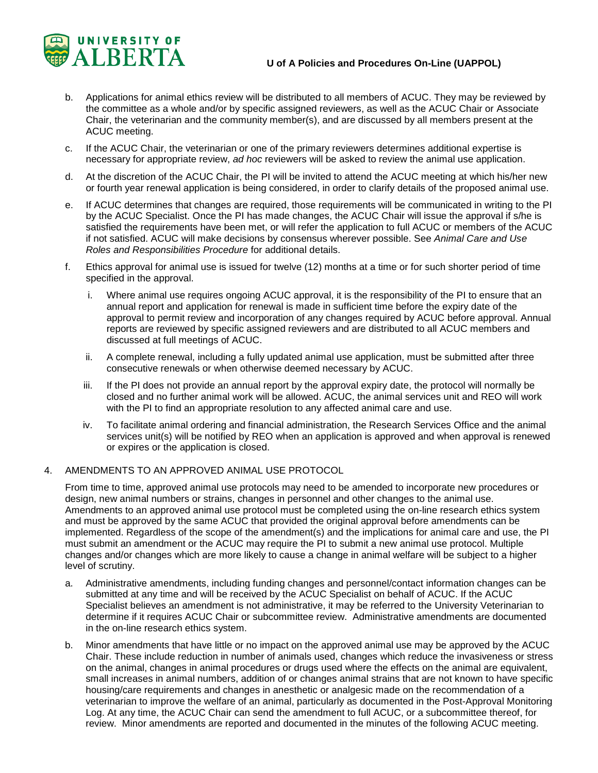

- b. Applications for animal ethics review will be distributed to all members of ACUC. They may be reviewed by the committee as a whole and/or by specific assigned reviewers, as well as the ACUC Chair or Associate Chair, the veterinarian and the community member(s), and are discussed by all members present at the ACUC meeting.
- c. If the ACUC Chair, the veterinarian or one of the primary reviewers determines additional expertise is necessary for appropriate review, *ad hoc* reviewers will be asked to review the animal use application.
- d. At the discretion of the ACUC Chair, the PI will be invited to attend the ACUC meeting at which his/her new or fourth year renewal application is being considered, in order to clarify details of the proposed animal use.
- e. If ACUC determines that changes are required, those requirements will be communicated in writing to the PI by the ACUC Specialist. Once the PI has made changes, the ACUC Chair will issue the approval if s/he is satisfied the requirements have been met, or will refer the application to full ACUC or members of the ACUC if not satisfied. ACUC will make decisions by consensus wherever possible. See *Animal Care and Use Roles and Responsibilities Procedure* for additional details.
- f. Ethics approval for animal use is issued for twelve (12) months at a time or for such shorter period of time specified in the approval.
	- i. Where animal use requires ongoing ACUC approval, it is the responsibility of the PI to ensure that an annual report and application for renewal is made in sufficient time before the expiry date of the approval to permit review and incorporation of any changes required by ACUC before approval. Annual reports are reviewed by specific assigned reviewers and are distributed to all ACUC members and discussed at full meetings of ACUC.
	- ii. A complete renewal, including a fully updated animal use application, must be submitted after three consecutive renewals or when otherwise deemed necessary by ACUC.
	- iii. If the PI does not provide an annual report by the approval expiry date, the protocol will normally be closed and no further animal work will be allowed. ACUC, the animal services unit and REO will work with the PI to find an appropriate resolution to any affected animal care and use.
	- iv. To facilitate animal ordering and financial administration, the Research Services Office and the animal services unit(s) will be notified by REO when an application is approved and when approval is renewed or expires or the application is closed.

#### 4. AMENDMENTS TO AN APPROVED ANIMAL USE PROTOCOL

From time to time, approved animal use protocols may need to be amended to incorporate new procedures or design, new animal numbers or strains, changes in personnel and other changes to the animal use. Amendments to an approved animal use protocol must be completed using the on-line research ethics system and must be approved by the same ACUC that provided the original approval before amendments can be implemented. Regardless of the scope of the amendment(s) and the implications for animal care and use, the PI must submit an amendment or the ACUC may require the PI to submit a new animal use protocol. Multiple changes and/or changes which are more likely to cause a change in animal welfare will be subject to a higher level of scrutiny.

- a. Administrative amendments, including funding changes and personnel/contact information changes can be submitted at any time and will be received by the ACUC Specialist on behalf of ACUC. If the ACUC Specialist believes an amendment is not administrative, it may be referred to the University Veterinarian to determine if it requires ACUC Chair or subcommittee review. Administrative amendments are documented in the on-line research ethics system.
- b. Minor amendments that have little or no impact on the approved animal use may be approved by the ACUC Chair. These include reduction in number of animals used, changes which reduce the invasiveness or stress on the animal, changes in animal procedures or drugs used where the effects on the animal are equivalent, small increases in animal numbers, addition of or changes animal strains that are not known to have specific housing/care requirements and changes in anesthetic or analgesic made on the recommendation of a veterinarian to improve the welfare of an animal, particularly as documented in the Post-Approval Monitoring Log. At any time, the ACUC Chair can send the amendment to full ACUC, or a subcommittee thereof, for review. Minor amendments are reported and documented in the minutes of the following ACUC meeting.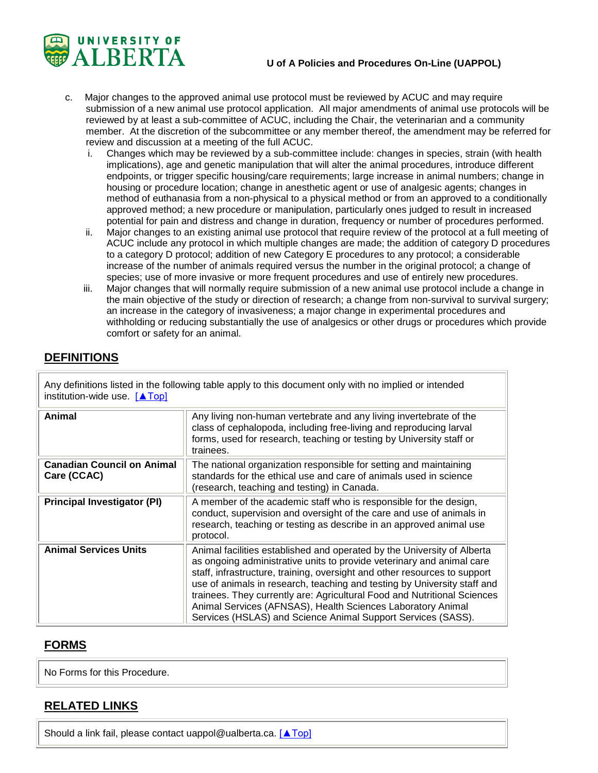

- c. Major changes to the approved animal use protocol must be reviewed by ACUC and may require submission of a new animal use protocol application. All major amendments of animal use protocols will be reviewed by at least a sub-committee of ACUC, including the Chair, the veterinarian and a community member. At the discretion of the subcommittee or any member thereof, the amendment may be referred for review and discussion at a meeting of the full ACUC.
	- Changes which may be reviewed by a sub-committee include: changes in species, strain (with health implications), age and genetic manipulation that will alter the animal procedures, introduce different endpoints, or trigger specific housing/care requirements; large increase in animal numbers; change in housing or procedure location; change in anesthetic agent or use of analgesic agents; changes in method of euthanasia from a non-physical to a physical method or from an approved to a conditionally approved method; a new procedure or manipulation, particularly ones judged to result in increased potential for pain and distress and change in duration, frequency or number of procedures performed.
	- ii. Major changes to an existing animal use protocol that require review of the protocol at a full meeting of ACUC include any protocol in which multiple changes are made; the addition of category D procedures to a category D protocol; addition of new Category E procedures to any protocol; a considerable increase of the number of animals required versus the number in the original protocol; a change of species; use of more invasive or more frequent procedures and use of entirely new procedures.
	- iii. Major changes that will normally require submission of a new animal use protocol include a change in the main objective of the study or direction of research; a change from non-survival to survival surgery; an increase in the category of invasiveness; a major change in experimental procedures and withholding or reducing substantially the use of analgesics or other drugs or procedures which provide comfort or safety for an animal.

## **DEFINITIONS**

Any definitions listed in the following table apply to this document only with no implied or intended institution-wide use. [\[▲Top\]](#page-0-0)

| Animal                                           | Any living non-human vertebrate and any living invertebrate of the<br>class of cephalopoda, including free-living and reproducing larval<br>forms, used for research, teaching or testing by University staff or<br>trainees.                                                                                                                                                                                                                                                                                        |
|--------------------------------------------------|----------------------------------------------------------------------------------------------------------------------------------------------------------------------------------------------------------------------------------------------------------------------------------------------------------------------------------------------------------------------------------------------------------------------------------------------------------------------------------------------------------------------|
| <b>Canadian Council on Animal</b><br>Care (CCAC) | The national organization responsible for setting and maintaining<br>standards for the ethical use and care of animals used in science<br>(research, teaching and testing) in Canada.                                                                                                                                                                                                                                                                                                                                |
| <b>Principal Investigator (PI)</b>               | A member of the academic staff who is responsible for the design,<br>conduct, supervision and oversight of the care and use of animals in<br>research, teaching or testing as describe in an approved animal use<br>protocol.                                                                                                                                                                                                                                                                                        |
| <b>Animal Services Units</b>                     | Animal facilities established and operated by the University of Alberta<br>as ongoing administrative units to provide veterinary and animal care<br>staff, infrastructure, training, oversight and other resources to support<br>use of animals in research, teaching and testing by University staff and<br>trainees. They currently are: Agricultural Food and Nutritional Sciences<br>Animal Services (AFNSAS), Health Sciences Laboratory Animal<br>Services (HSLAS) and Science Animal Support Services (SASS). |

## **FORMS**

No Forms for this Procedure.

## **RELATED LINKS**

Should a link fail, please contact [uappol@ualberta.ca.](mailto:uappol@ualberta.ca) [\[▲Top\]](#page-0-0)